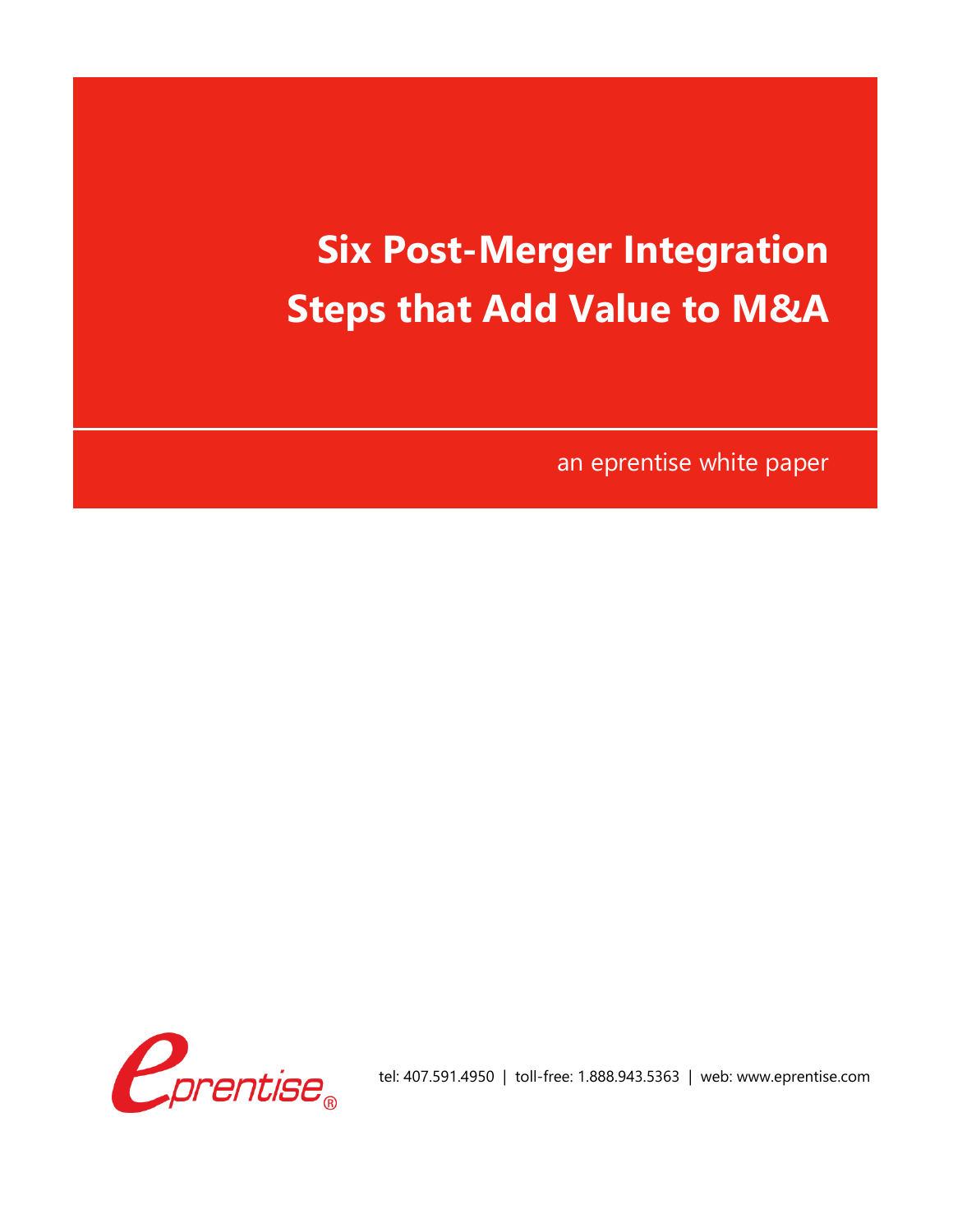# **Six Post-Merger Integration Steps that Add Value to M&A**

an eprentise white paper



tel: 407.591.4950 | toll-free: 1.888.943.5363 | web: www.eprentise.com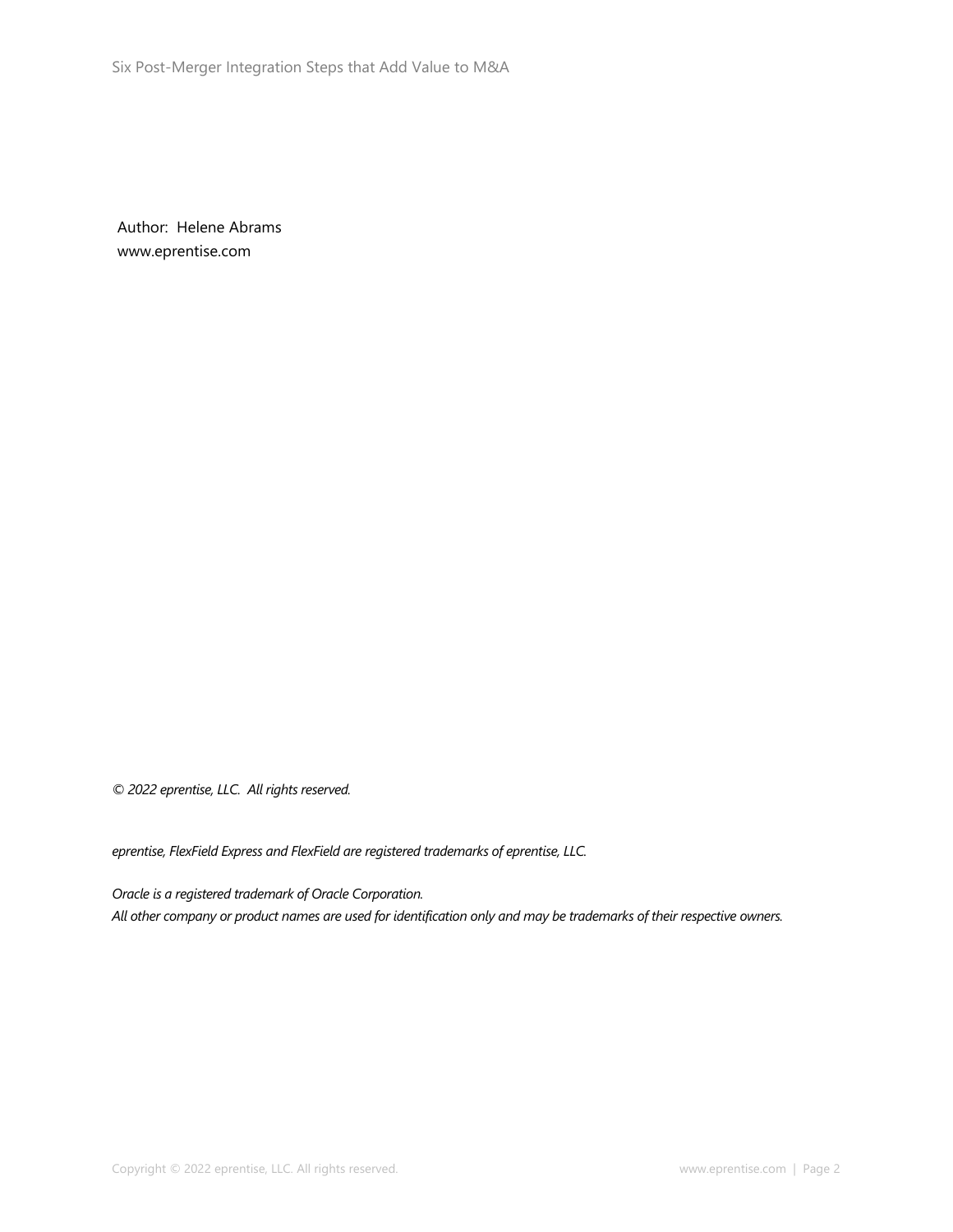Six Post-Merger Integration Steps that Add Value to M&A

Author: Helene Abrams www.eprentise.com

*© 2022 eprentise, LLC. All rights reserved.*

*eprentise, FlexField Express and FlexField are registered trademarks of eprentise, LLC.*

*Oracle is a registered trademark of Oracle Corporation. All other company or product names are used for identification only and may be trademarks of their respective owners.*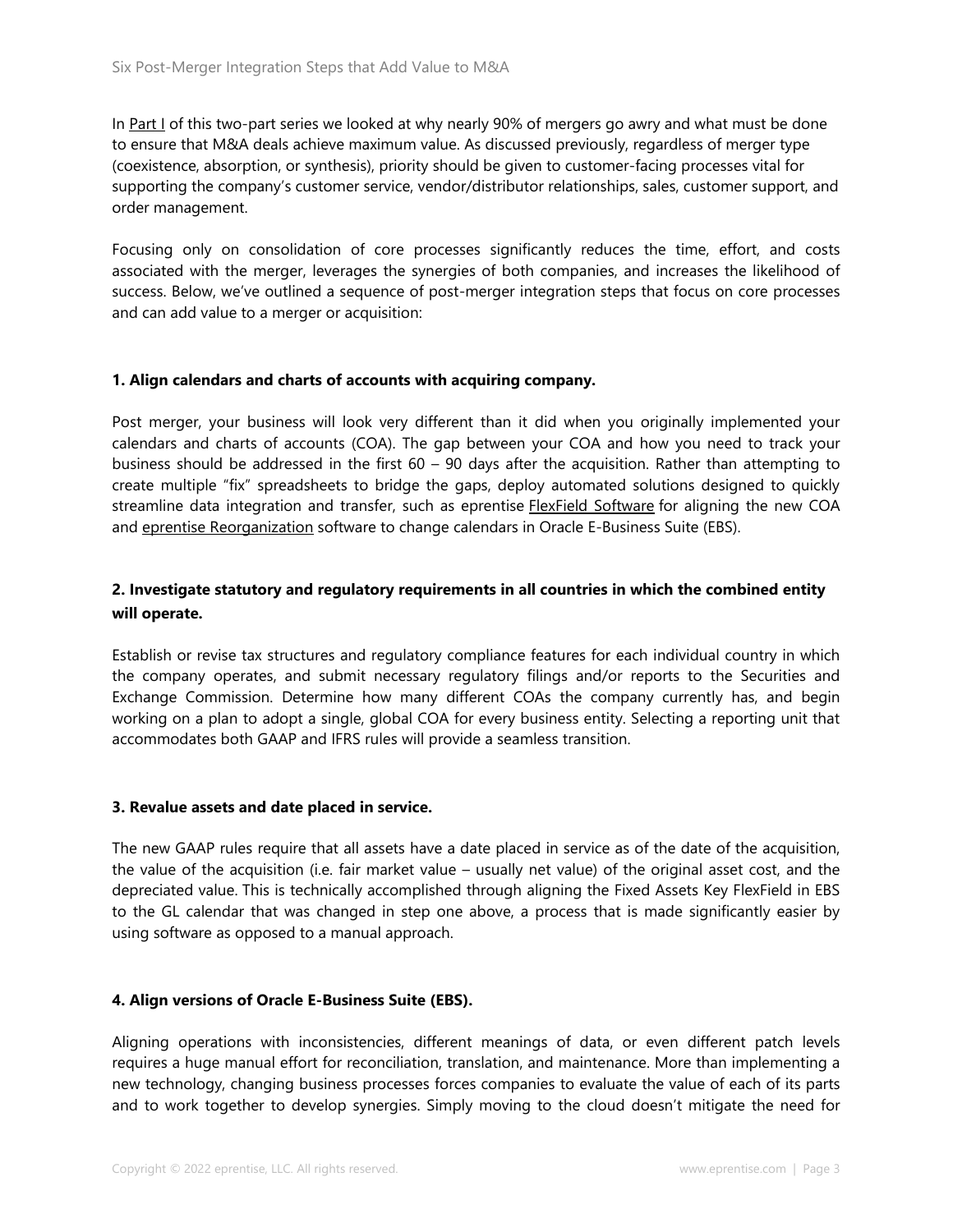In [Part](https://www.eprentise.com/2021/04/15/ma-realizing-the-value/) I of this two-part series we looked at why nearly 90% of mergers go awry and what must be done to ensure that M&A deals achieve maximum value. As discussed previously, regardless of merger type (coexistence, absorption, or synthesis), priority should be given to customer-facing processes vital for supporting the company's customer service, vendor/distributor relationships, sales, customer support, and order management.

Focusing only on consolidation of core processes significantly reduces the time, effort, and costs associated with the merger, leverages the synergies of both companies, and increases the likelihood of success. Below, we've outlined a sequence of post-merger integration steps that focus on core processes and can add value to a merger or acquisition:

#### **1. Align calendars and charts of accounts with acquiring company.**

Post merger, your business will look very different than it did when you originally implemented your calendars and charts of accounts (COA). The gap between your COA and how you need to track your business should be addressed in the first 60 – 90 days after the acquisition. Rather than attempting to create multiple "fix" spreadsheets to bridge the gaps, deploy automated solutions designed to quickly streamline data integration and transfer, such as eprentise **FlexField [Software](http://www.eprentise.com/products/flexfield/)** for aligning the new COA and eprentise [Reorganization](http://www.eprentise.com/products/reorganization/) software to change calendars in Oracle E-Business Suite (EBS).

### **2. Investigate statutory and regulatory requirements in all countries in which the combined entity will operate.**

Establish or revise tax structures and regulatory compliance features for each individual country in which the company operates, and submit necessary regulatory filings and/or reports to the Securities and Exchange Commission. Determine how many different COAs the company currently has, and begin working on a plan to adopt a single, global COA for every business entity. Selecting a reporting unit that accommodates both GAAP and IFRS rules will provide a seamless transition.

#### **3. Revalue assets and date placed in service.**

The new GAAP rules require that all assets have a date placed in service as of the date of the acquisition, the value of the acquisition (i.e. fair market value – usually net value) of the original asset cost, and the depreciated value. This is technically accomplished through aligning the Fixed Assets Key FlexField in EBS to the GL calendar that was changed in step one above, a process that is made significantly easier by using software as opposed to a manual approach.

#### **4. Align versions of Oracle E-Business Suite (EBS).**

Aligning operations with inconsistencies, different meanings of data, or even different patch levels requires a huge manual effort for reconciliation, translation, and maintenance. More than implementing a new technology, changing business processes forces companies to evaluate the value of each of its parts and to work together to develop synergies. Simply moving to the cloud doesn't mitigate the need for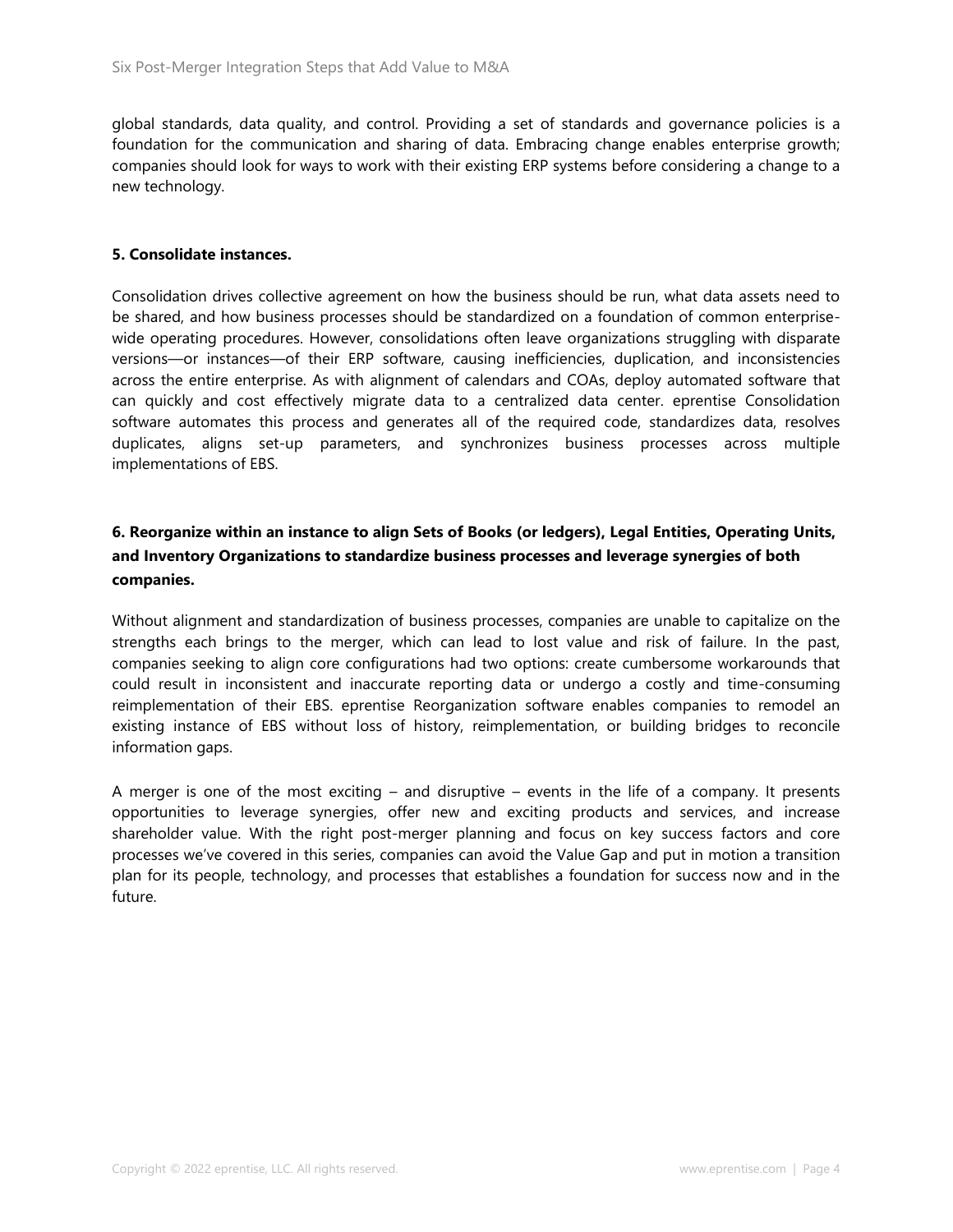global standards, data quality, and control. Providing a set of standards and governance policies is a foundation for the communication and sharing of data. Embracing change enables enterprise growth; companies should look for ways to work with their existing ERP systems before considering a change to a new technology.

#### **5. Consolidate instances.**

Consolidation drives collective agreement on how the business should be run, what data assets need to be shared, and how business processes should be standardized on a foundation of common enterprisewide operating procedures. However, consolidations often leave organizations struggling with disparate versions—or instances—of their ERP software, causing inefficiencies, duplication, and inconsistencies across the entire enterprise. As with alignment of calendars and COAs, deploy automated software that can quickly and cost effectively migrate data to a centralized data center. eprentise Consolidation software automates this process and generates all of the required code, standardizes data, resolves duplicates, aligns set-up parameters, and synchronizes business processes across multiple implementations of EBS.

## **6. Reorganize within an instance to align Sets of Books (or ledgers), Legal Entities, Operating Units, and Inventory Organizations to standardize business processes and leverage synergies of both companies.**

Without alignment and standardization of business processes, companies are unable to capitalize on the strengths each brings to the merger, which can lead to lost value and risk of failure. In the past, companies seeking to align core configurations had two options: create cumbersome workarounds that could result in inconsistent and inaccurate reporting data or undergo a costly and time-consuming reimplementation of their EBS. eprentise Reorganization software enables companies to remodel an existing instance of EBS without loss of history, reimplementation, or building bridges to reconcile information gaps.

A merger is one of the most exciting – and disruptive – events in the life of a company. It presents opportunities to leverage synergies, offer new and exciting products and services, and increase shareholder value. With the right post-merger planning and focus on key success factors and core processes we've covered in this series, companies can avoid the Value Gap and put in motion a transition plan for its people, technology, and processes that establishes a foundation for success now and in the future.